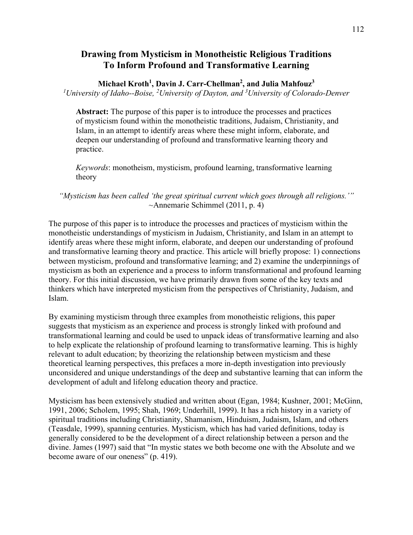# **Drawing from Mysticism in Monotheistic Religious Traditions To Inform Profound and Transformative Learning**

## **Michael Kroth1 , Davin J. Carr-Chellman2 , and Julia Mahfouz<sup>3</sup>**

*1University of Idaho--Boise, 2University of Dayton, and 3University of Colorado-Denver*

**Abstract:** The purpose of this paper is to introduce the processes and practices of mysticism found within the monotheistic traditions, Judaism, Christianity, and Islam, in an attempt to identify areas where these might inform, elaborate, and deepen our understanding of profound and transformative learning theory and practice.

*Keywords*: monotheism, mysticism, profound learning, transformative learning theory

*"Mysticism has been called 'the great spiritual current which goes through all religions.'"*  $\sim$ Annemarie Schimmel (2011, p. 4)

The purpose of this paper is to introduce the processes and practices of mysticism within the monotheistic understandings of mysticism in Judaism, Christianity, and Islam in an attempt to identify areas where these might inform, elaborate, and deepen our understanding of profound and transformative learning theory and practice. This article will briefly propose: 1) connections between mysticism, profound and transformative learning; and 2) examine the underpinnings of mysticism as both an experience and a process to inform transformational and profound learning theory. For this initial discussion, we have primarily drawn from some of the key texts and thinkers which have interpreted mysticism from the perspectives of Christianity, Judaism, and Islam.

By examining mysticism through three examples from monotheistic religions, this paper suggests that mysticism as an experience and process is strongly linked with profound and transformational learning and could be used to unpack ideas of transformative learning and also to help explicate the relationship of profound learning to transformative learning. This is highly relevant to adult education; by theorizing the relationship between mysticism and these theoretical learning perspectives, this prefaces a more in-depth investigation into previously unconsidered and unique understandings of the deep and substantive learning that can inform the development of adult and lifelong education theory and practice.

Mysticism has been extensively studied and written about (Egan, 1984; Kushner, 2001; McGinn, 1991, 2006; Scholem, 1995; Shah, 1969; Underhill, 1999). It has a rich history in a variety of spiritual traditions including Christianity, Shamanism, Hinduism, Judaism, Islam, and others (Teasdale, 1999), spanning centuries. Mysticism, which has had varied definitions, today is generally considered to be the development of a direct relationship between a person and the divine. James (1997) said that "In mystic states we both become one with the Absolute and we become aware of our oneness" (p. 419).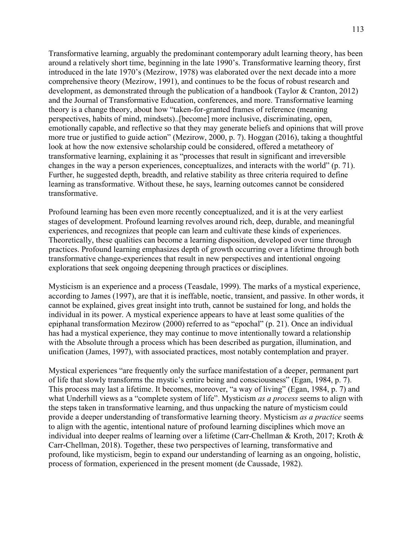Transformative learning, arguably the predominant contemporary adult learning theory, has been around a relatively short time, beginning in the late 1990's. Transformative learning theory, first introduced in the late 1970's (Mezirow, 1978) was elaborated over the next decade into a more comprehensive theory (Mezirow, 1991), and continues to be the focus of robust research and development, as demonstrated through the publication of a handbook (Taylor & Cranton, 2012) and the Journal of Transformative Education, conferences, and more. Transformative learning theory is a change theory, about how "taken-for-granted frames of reference (meaning perspectives, habits of mind, mindsets)..[become] more inclusive, discriminating, open, emotionally capable, and reflective so that they may generate beliefs and opinions that will prove more true or justified to guide action" (Mezirow, 2000, p. 7). Hoggan (2016), taking a thoughtful look at how the now extensive scholarship could be considered, offered a metatheory of transformative learning, explaining it as "processes that result in significant and irreversible changes in the way a person experiences, conceptualizes, and interacts with the world" (p. 71). Further, he suggested depth, breadth, and relative stability as three criteria required to define learning as transformative. Without these, he says, learning outcomes cannot be considered transformative.

Profound learning has been even more recently conceptualized, and it is at the very earliest stages of development. Profound learning revolves around rich, deep, durable, and meaningful experiences, and recognizes that people can learn and cultivate these kinds of experiences. Theoretically, these qualities can become a learning disposition, developed over time through practices. Profound learning emphasizes depth of growth occurring over a lifetime through both transformative change-experiences that result in new perspectives and intentional ongoing explorations that seek ongoing deepening through practices or disciplines.

Mysticism is an experience and a process (Teasdale, 1999). The marks of a mystical experience, according to James (1997), are that it is ineffable, noetic, transient, and passive. In other words, it cannot be explained, gives great insight into truth, cannot be sustained for long, and holds the individual in its power. A mystical experience appears to have at least some qualities of the epiphanal transformation Mezirow (2000) referred to as "epochal" (p. 21). Once an individual has had a mystical experience, they may continue to move intentionally toward a relationship with the Absolute through a process which has been described as purgation, illumination, and unification (James, 1997), with associated practices, most notably contemplation and prayer.

Mystical experiences "are frequently only the surface manifestation of a deeper, permanent part of life that slowly transforms the mystic's entire being and consciousness" (Egan, 1984, p. 7). This process may last a lifetime. It becomes, moreover, "a way of living" (Egan, 1984, p. 7) and what Underhill views as a "complete system of life". Mysticism *as a process* seems to align with the steps taken in transformative learning, and thus unpacking the nature of mysticism could provide a deeper understanding of transformative learning theory. Mysticism *as a practice* seems to align with the agentic, intentional nature of profound learning disciplines which move an individual into deeper realms of learning over a lifetime (Carr-Chellman & Kroth, 2017; Kroth & Carr-Chellman, 2018). Together, these two perspectives of learning, transformative and profound, like mysticism, begin to expand our understanding of learning as an ongoing, holistic, process of formation, experienced in the present moment (de Caussade, 1982).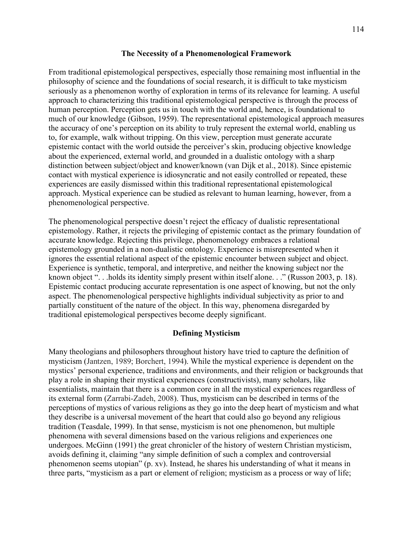### **The Necessity of a Phenomenological Framework**

From traditional epistemological perspectives, especially those remaining most influential in the philosophy of science and the foundations of social research, it is difficult to take mysticism seriously as a phenomenon worthy of exploration in terms of its relevance for learning. A useful approach to characterizing this traditional epistemological perspective is through the process of human perception. Perception gets us in touch with the world and, hence, is foundational to much of our knowledge (Gibson, 1959). The representational epistemological approach measures the accuracy of one's perception on its ability to truly represent the external world, enabling us to, for example, walk without tripping. On this view, perception must generate accurate epistemic contact with the world outside the perceiver's skin, producing objective knowledge about the experienced, external world, and grounded in a dualistic ontology with a sharp distinction between subject/object and knower/known (van Dijk et al., 2018). Since epistemic contact with mystical experience is idiosyncratic and not easily controlled or repeated, these experiences are easily dismissed within this traditional representational epistemological approach. Mystical experience can be studied as relevant to human learning, however, from a phenomenological perspective.

The phenomenological perspective doesn't reject the efficacy of dualistic representational epistemology. Rather, it rejects the privileging of epistemic contact as the primary foundation of accurate knowledge. Rejecting this privilege, phenomenology embraces a relational epistemology grounded in a non-dualistic ontology. Experience is misrepresented when it ignores the essential relational aspect of the epistemic encounter between subject and object. Experience is synthetic, temporal, and interpretive, and neither the knowing subject nor the known object ". . .holds its identity simply present within itself alone. . ." (Russon 2003, p. 18). Epistemic contact producing accurate representation is one aspect of knowing, but not the only aspect. The phenomenological perspective highlights individual subjectivity as prior to and partially constituent of the nature of the object. In this way, phenomena disregarded by traditional epistemological perspectives become deeply significant.

### **Defining Mysticism**

Many theologians and philosophers throughout history have tried to capture the definition of mysticism (Jantzen, 1989; Borchert, 1994). While the mystical experience is dependent on the mystics' personal experience, traditions and environments, and their religion or backgrounds that play a role in shaping their mystical experiences (constructivists), many scholars, like essentialists, maintain that there is a common core in all the mystical experiences regardless of its external form (Zarrabi-Zadeh, 2008). Thus, mysticism can be described in terms of the perceptions of mystics of various religions as they go into the deep heart of mysticism and what they describe is a universal movement of the heart that could also go beyond any religious tradition (Teasdale, 1999). In that sense, mysticism is not one phenomenon, but multiple phenomena with several dimensions based on the various religions and experiences one undergoes. McGinn (1991) the great chronicler of the history of western Christian mysticism, avoids defining it, claiming "any simple definition of such a complex and controversial phenomenon seems utopian" (p. xv). Instead, he shares his understanding of what it means in three parts, "mysticism as a part or element of religion; mysticism as a process or way of life;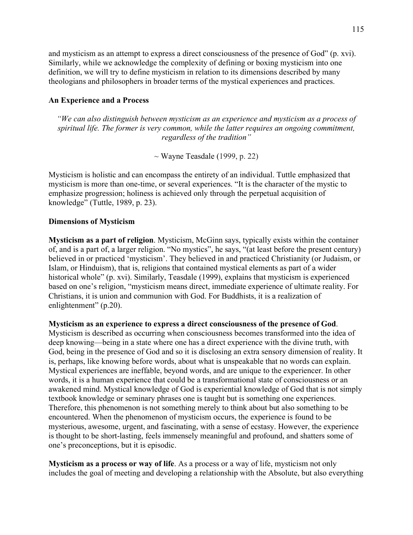and mysticism as an attempt to express a direct consciousness of the presence of God" (p. xvi). Similarly, while we acknowledge the complexity of defining or boxing mysticism into one definition, we will try to define mysticism in relation to its dimensions described by many theologians and philosophers in broader terms of the mystical experiences and practices.

## **An Experience and a Process**

*"We can also distinguish between mysticism as an experience and mysticism as a process of spiritual life. The former is very common, while the latter requires an ongoing commitment, regardless of the tradition"*

 $\sim$  Wayne Teasdale (1999, p. 22)

Mysticism is holistic and can encompass the entirety of an individual. Tuttle emphasized that mysticism is more than one-time, or several experiences. "It is the character of the mystic to emphasize progression; holiness is achieved only through the perpetual acquisition of knowledge" (Tuttle, 1989, p. 23).

## **Dimensions of Mysticism**

**Mysticism as a part of religion**. Mysticism, McGinn says, typically exists within the container of, and is a part of, a larger religion. "No mystics", he says, "(at least before the present century) believed in or practiced 'mysticism'. They believed in and practiced Christianity (or Judaism, or Islam, or Hinduism), that is, religions that contained mystical elements as part of a wider historical whole" (p. xvi). Similarly, Teasdale (1999), explains that mysticism is experienced based on one's religion, "mysticism means direct, immediate experience of ultimate reality. For Christians, it is union and communion with God. For Buddhists, it is a realization of enlightenment" (p.20).

**Mysticism as an experience to express a direct consciousness of the presence of God**.

Mysticism is described as occurring when consciousness becomes transformed into the idea of deep knowing—being in a state where one has a direct experience with the divine truth, with God, being in the presence of God and so it is disclosing an extra sensory dimension of reality. It is, perhaps, like knowing before words, about what is unspeakable that no words can explain. Mystical experiences are ineffable, beyond words, and are unique to the experiencer. In other words, it is a human experience that could be a transformational state of consciousness or an awakened mind. Mystical knowledge of God is experiential knowledge of God that is not simply textbook knowledge or seminary phrases one is taught but is something one experiences. Therefore, this phenomenon is not something merely to think about but also something to be encountered. When the phenomenon of mysticism occurs, the experience is found to be mysterious, awesome, urgent, and fascinating, with a sense of ecstasy. However, the experience is thought to be short-lasting, feels immensely meaningful and profound, and shatters some of one's preconceptions, but it is episodic.

**Mysticism as a process or way of life**. As a process or a way of life, mysticism not only includes the goal of meeting and developing a relationship with the Absolute, but also everything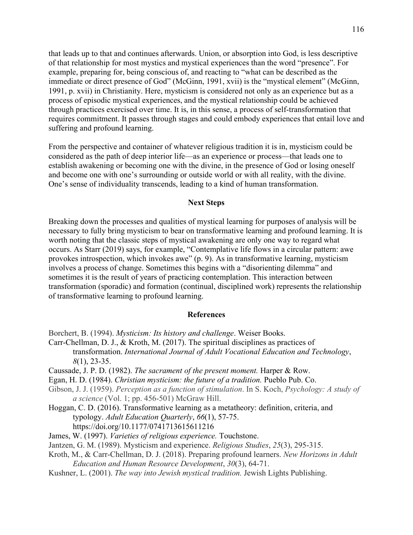that leads up to that and continues afterwards. Union, or absorption into God, is less descriptive of that relationship for most mystics and mystical experiences than the word "presence". For example, preparing for, being conscious of, and reacting to "what can be described as the immediate or direct presence of God" (McGinn, 1991, xvii) is the "mystical element" (McGinn, 1991, p. xvii) in Christianity. Here, mysticism is considered not only as an experience but as a process of episodic mystical experiences, and the mystical relationship could be achieved through practices exercised over time. It is, in this sense, a process of self-transformation that requires commitment. It passes through stages and could embody experiences that entail love and suffering and profound learning.

From the perspective and container of whatever religious tradition it is in, mysticism could be considered as the path of deep interior life—as an experience or process—that leads one to establish awakening or becoming one with the divine, in the presence of God or losing oneself and become one with one's surrounding or outside world or with all reality, with the divine. One's sense of individuality transcends, leading to a kind of human transformation.

## **Next Steps**

Breaking down the processes and qualities of mystical learning for purposes of analysis will be necessary to fully bring mysticism to bear on transformative learning and profound learning. It is worth noting that the classic steps of mystical awakening are only one way to regard what occurs. As Starr (2019) says, for example, "Contemplative life flows in a circular pattern: awe provokes introspection, which invokes awe" (p. 9). As in transformative learning, mysticism involves a process of change. Sometimes this begins with a "disorienting dilemma" and sometimes it is the result of years of practicing contemplation. This interaction between transformation (sporadic) and formation (continual, disciplined work) represents the relationship of transformative learning to profound learning.

### **References**

- Borchert, B. (1994). *Mysticism: Its history and challenge*. Weiser Books.
- Carr-Chellman, D. J., & Kroth, M. (2017). The spiritual disciplines as practices of transformation. *International Journal of Adult Vocational Education and Technology*, *8*(1), 23-35.
- Caussade, J. P. D. (1982). *The sacrament of the present moment.* Harper & Row.
- Egan, H. D. (1984). *Christian mysticism: the future of a tradition.* Pueblo Pub. Co.
- Gibson, J. J. (1959). *Perception as a function of stimulation*. In S. Koch, *Psychology: A study of a science* (Vol. 1; pp. 456-501) McGraw Hill.
- Hoggan, C. D. (2016). Transformative learning as a metatheory: definition, criteria, and typology. *Adult Education Quarterly*, *66*(1), 57-75. https://doi.org/10.1177/0741713615611216
- James, W. (1997). *Varieties of religious experience.* Touchstone.
- Jantzen, G. M. (1989). Mysticism and experience. *Religious Studies*, *25*(3), 295-315.
- Kroth, M., & Carr-Chellman, D. J. (2018). Preparing profound learners. *New Horizons in Adult Education and Human Resource Development*, *30*(3), 64-71.
- Kushner, L. (2001). *The way into Jewish mystical tradition.* Jewish Lights Publishing.